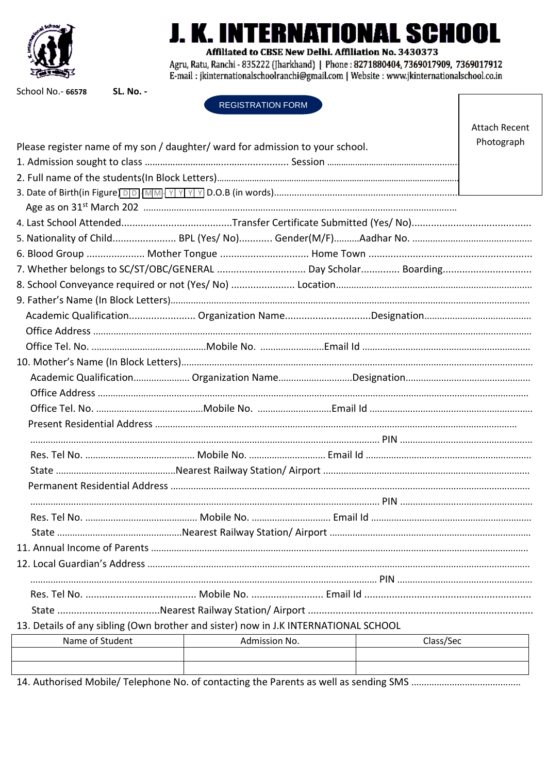

## **TERNATIONAL SCHOOL**

Affiliated to CBSE New Delhi. Affiliation No. 3430373

Agru, Ratu, Ranchi - 835222 (Jharkhand) | Phone: 8271880404, 7369017909, 7369017912 E-mail: jkinternationalschoolranchi@gmail.com | Website: www.jkinternationalschool.co.in

School No.- 66578

**SL. No. -**

**REGISTRATION FORM** 

|                                                                                     |               |  |           | <b>Attach Recent</b> |  |
|-------------------------------------------------------------------------------------|---------------|--|-----------|----------------------|--|
| Please register name of my son / daughter/ ward for admission to your school.       |               |  |           |                      |  |
|                                                                                     |               |  |           |                      |  |
|                                                                                     |               |  |           |                      |  |
|                                                                                     |               |  |           |                      |  |
|                                                                                     |               |  |           |                      |  |
|                                                                                     |               |  |           |                      |  |
|                                                                                     |               |  |           |                      |  |
|                                                                                     |               |  |           |                      |  |
|                                                                                     |               |  |           |                      |  |
|                                                                                     |               |  |           |                      |  |
|                                                                                     |               |  |           |                      |  |
|                                                                                     |               |  |           |                      |  |
|                                                                                     |               |  |           |                      |  |
|                                                                                     |               |  |           |                      |  |
|                                                                                     |               |  |           |                      |  |
|                                                                                     |               |  |           |                      |  |
|                                                                                     |               |  |           |                      |  |
|                                                                                     |               |  |           |                      |  |
|                                                                                     |               |  |           |                      |  |
|                                                                                     |               |  |           |                      |  |
|                                                                                     |               |  |           |                      |  |
|                                                                                     |               |  |           |                      |  |
|                                                                                     |               |  |           |                      |  |
|                                                                                     |               |  |           |                      |  |
|                                                                                     |               |  |           |                      |  |
| State.                                                                              |               |  |           |                      |  |
|                                                                                     |               |  |           |                      |  |
|                                                                                     |               |  |           |                      |  |
|                                                                                     |               |  |           |                      |  |
|                                                                                     |               |  |           |                      |  |
|                                                                                     |               |  |           |                      |  |
| 13. Details of any sibling (Own brother and sister) now in J.K INTERNATIONAL SCHOOL |               |  |           |                      |  |
| Name of Student                                                                     | Admission No. |  | Class/Sec |                      |  |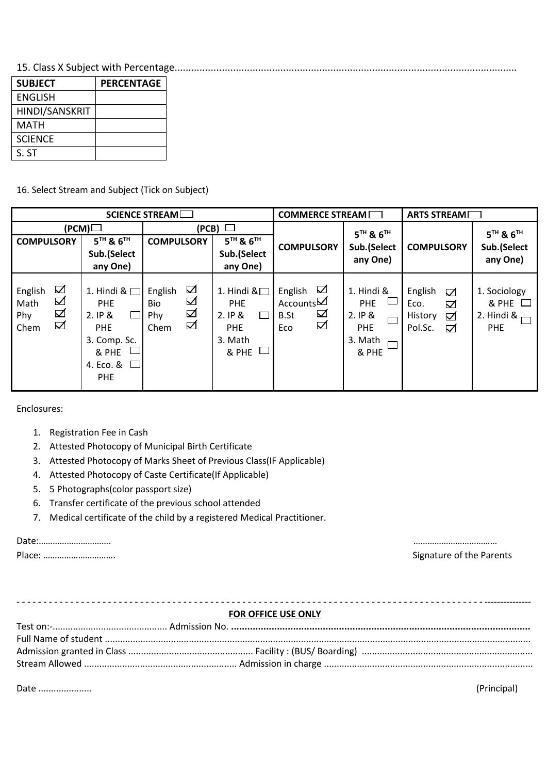15. Class X Subject with Percentage...........................................................................................................................

| <b>SUBJECT</b> | <b>PERCENTAGE</b> |
|----------------|-------------------|
| ENGLISH        |                   |
| HINDI/SANSKRIT |                   |
| MATH           |                   |
| <b>SCIENCE</b> |                   |
| S. ST          |                   |

16. Select Stream and Subject (Tick on Subject)

| SCIENCE STREAM                                                 |                                                                                                                          |                                                                 | <b>COMMERCE STREAM</b>                                                                       |                                                                      | ARTS STREAM                                                          |                                                           |                                                                   |
|----------------------------------------------------------------|--------------------------------------------------------------------------------------------------------------------------|-----------------------------------------------------------------|----------------------------------------------------------------------------------------------|----------------------------------------------------------------------|----------------------------------------------------------------------|-----------------------------------------------------------|-------------------------------------------------------------------|
| <b>COMPULSORY</b>                                              | (PCM)<br>$5TH$ & $6TH$<br>Sub.(Select                                                                                    | <b>COMPULSORY</b>                                               | $(PCB)$ $\Box$<br>$5TH$ & $6TH$<br>Sub.(Select                                               | <b>COMPULSORY</b>                                                    | 5 <sup>TH</sup> & 6 <sup>TH</sup><br>Sub.(Select<br>any One)         | <b>COMPULSORY</b>                                         | $5TH$ & $6TH$<br>Sub.(Select<br>any One)                          |
| $\Box$<br>English<br>☑<br>Math<br>$\Delta$<br>Phy<br>☑<br>Chem | any One)<br>1. Hindi & $\Box$<br><b>PHE</b><br>2. IP &<br><b>PHE</b><br>3. Comp. Sc.<br>& PHE<br>4. Eco. &<br><b>PHE</b> | ☑<br>English<br>☑<br><b>Bio</b><br>☑<br><b>Phy</b><br>☑<br>Chem | any One)<br>1. Hindi $\&$<br><b>PHE</b><br>2. IP &<br>$\Box$<br>PHE<br>3. Math<br>ப<br>& PHE | ☑<br>English<br>Accounts $\boxtimes$<br>☑<br><b>B.St</b><br>☑<br>Eco | 1. Hindi &<br><b>PHE</b><br>2.1P &<br><b>PHE</b><br>3. Math<br>& PHE | English<br>☑<br>Eco.<br>☑<br>History<br>☑<br>Pol.Sc.<br>☑ | 1. Sociology<br>$&$ PHE $\Box$<br>2. Hindi & $\Box$<br><b>PHE</b> |

Enclosures:

- 1. Registration Fee in Cash
- 2. Attested Photocopy of Municipal Birth Certificate
- 3. Attested Photocopy of Marks Sheet of Previous Class(IF Applicable)
- 4. Attested Photocopy of Caste Certificate(If Applicable)
- 5. 5 Photographs(color passport size)
- 6. Transfer certificate of the previous school attended
- 7. Medical certificate of the child by a registered Medical Practitioner.

| $\n  1 - 1 - 1$<br>Dalr<br><br>e a construction de la construction de la construction de la construction de la construction de la constructio |                                |
|-----------------------------------------------------------------------------------------------------------------------------------------------|--------------------------------|
| Dloco.                                                                                                                                        | $\sim$<br>Cianatura at tha Dar |

Place: …………………………. Signature of the Parents

## **FOR OFFICE USE ONLY**

- - - - - - - - - - - - - - - - - - - - - - - - - - - - - - - - - - - - - - - - - - - - - - - - - - - - - - - - - - - - - - - - - - - - - - - - - - - - - - - - - - - - - - - ---------------

Date ..................... (Principal)